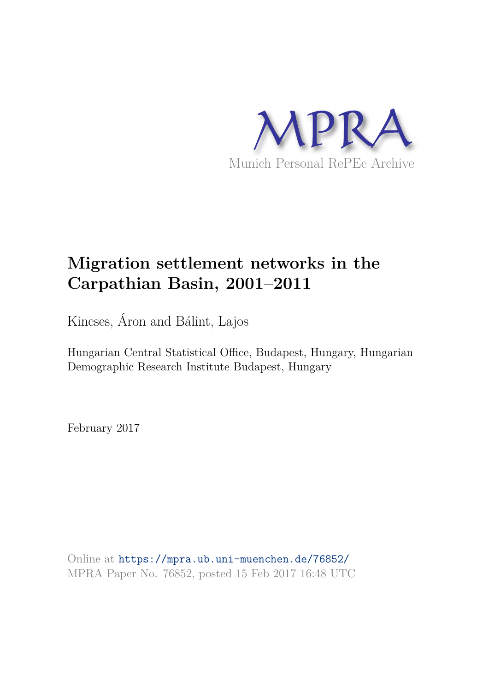

## **Migration settlement networks in the Carpathian Basin, 2001–2011**

Kincses, Áron and Bálint, Lajos

Hungarian Central Statistical Office, Budapest, Hungary, Hungarian Demographic Research Institute Budapest, Hungary

February 2017

Online at https://mpra.ub.uni-muenchen.de/76852/ MPRA Paper No. 76852, posted 15 Feb 2017 16:48 UTC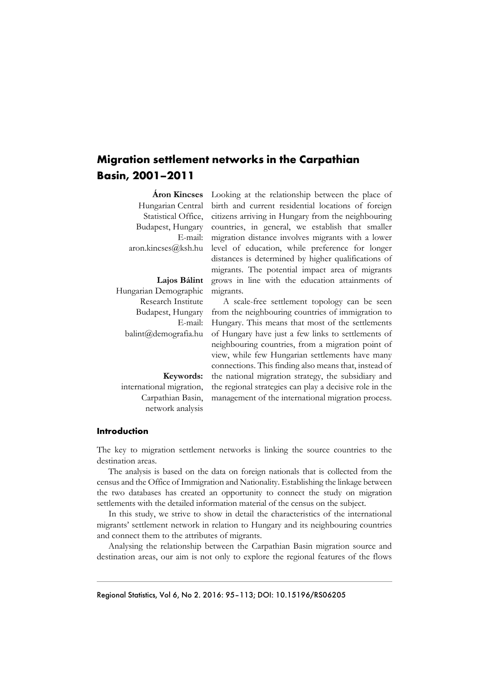## **Migration settlement networks in the Carpathian Basin, 2001–2011**

**Áron Kincses**  Statistical Office, Budapest, Hungary E-mail: aron.kincses@ksh.hu Looking at the relationship between the place of

Hungarian Demographic Research Institute Budapest, Hungary E-mail: balint@demografia.hu

Hungarian Central birth and current residential locations of foreign citizens arriving in Hungary from the neighbouring countries, in general, we establish that smaller migration distance involves migrants with a lower level of education, while preference for longer distances is determined by higher qualifications of migrants. The potential impact area of migrants grows in line with the education attainments of migrants.

> A scale-free settlement topology can be seen from the neighbouring countries of immigration to Hungary. This means that most of the settlements of Hungary have just a few links to settlements of neighbouring countries, from a migration point of view, while few Hungarian settlements have many connections. This finding also means that, instead of the national migration strategy, the subsidiary and the regional strategies can play a decisive role in the management of the international migration process.

**Introduction** 

The key to migration settlement networks is linking the source countries to the destination areas.

The analysis is based on the data on foreign nationals that is collected from the census and the Office of Immigration and Nationality. Establishing the linkage between the two databases has created an opportunity to connect the study on migration settlements with the detailed information material of the census on the subject.

In this study, we strive to show in detail the characteristics of the international migrants' settlement network in relation to Hungary and its neighbouring countries and connect them to the attributes of migrants.

Analysing the relationship between the Carpathian Basin migration source and destination areas, our aim is not only to explore the regional features of the flows

**Lajos Bálint** 

**Keywords:** international migration, Carpathian Basin, network analysis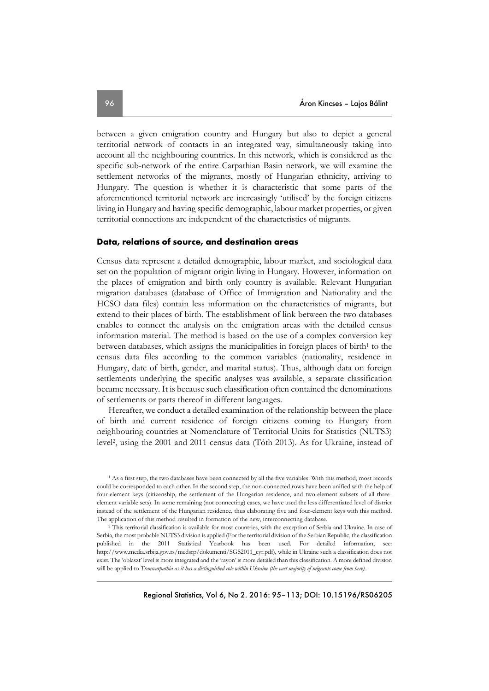between a given emigration country and Hungary but also to depict a general territorial network of contacts in an integrated way, simultaneously taking into account all the neighbouring countries. In this network, which is considered as the specific sub-network of the entire Carpathian Basin network, we will examine the settlement networks of the migrants, mostly of Hungarian ethnicity, arriving to Hungary. The question is whether it is characteristic that some parts of the aforementioned territorial network are increasingly 'utilised' by the foreign citizens living in Hungary and having specific demographic, labour market properties, or given territorial connections are independent of the characteristics of migrants.

### **Data, relations of source, and destination areas**

Census data represent a detailed demographic, labour market, and sociological data set on the population of migrant origin living in Hungary. However, information on the places of emigration and birth only country is available. Relevant Hungarian migration databases (database of Office of Immigration and Nationality and the HCSO data files) contain less information on the characteristics of migrants, but extend to their places of birth. The establishment of link between the two databases enables to connect the analysis on the emigration areas with the detailed census information material. The method is based on the use of a complex conversion key between databases, which assigns the municipalities in foreign places of birth<sup>1</sup> to the census data files according to the common variables (nationality, residence in Hungary, date of birth, gender, and marital status). Thus, although data on foreign settlements underlying the specific analyses was available, a separate classification became necessary. It is because such classification often contained the denominations of settlements or parts thereof in different languages.

Hereafter, we conduct a detailed examination of the relationship between the place of birth and current residence of foreign citizens coming to Hungary from neighbouring countries at Nomenclature of Territorial Units for Statistics (NUTS3) level<sup>2</sup> , using the 2001 and 2011 census data (Tóth 2013). As for Ukraine, instead of

<sup>&</sup>lt;sup>1</sup> As a first step, the two databases have been connected by all the five variables. With this method, most records could be corresponded to each other. In the second step, the non-connected rows have been unified with the help of four-element keys (citizenship, the settlement of the Hungarian residence, and two-element subsets of all threeelement variable sets). In some remaining (not connecting) cases, we have used the less differentiated level of district instead of the settlement of the Hungarian residence, thus elaborating five and four-element keys with this method. The application of this method resulted in formation of the new, interconnecting database.

<sup>&</sup>lt;sup>2</sup> This territorial classification is available for most countries, with the exception of Serbia and Ukraine. In case of Serbia, the most probable NUTS3 division is applied (For the territorial division of the Serbian Republic, the classification published in the 2011 Statistical Yearbook has been used. For detailed information, see: http://www.media.srbija.gov.rs/medsrp/dokumenti/SGS2011\_cyr.pdf), while in Ukraine such a classification does not exist. The 'oblaszt' level is more integrated and the 'rayon' is more detailed than this classification. A more defined division will be applied to *Transcarpathia as it has a distinguished role within Ukraine (the vast majority of migrants come from here).*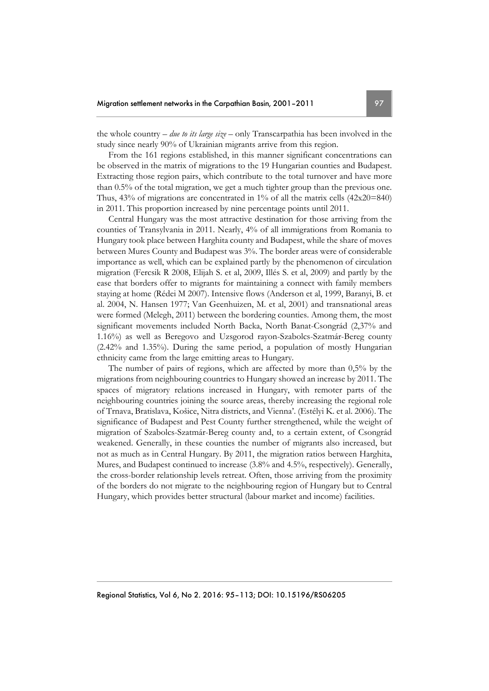the whole country – *due to its large size –* only Transcarpathia has been involved in the study since nearly 90% of Ukrainian migrants arrive from this region.

From the 161 regions established, in this manner significant concentrations can be observed in the matrix of migrations to the 19 Hungarian counties and Budapest. Extracting those region pairs, which contribute to the total turnover and have more than 0.5% of the total migration, we get a much tighter group than the previous one. Thus,  $43\%$  of migrations are concentrated in  $1\%$  of all the matrix cells  $(42x20=840)$ in 2011. This proportion increased by nine percentage points until 2011.

Central Hungary was the most attractive destination for those arriving from the counties of Transylvania in 2011. Nearly, 4% of all immigrations from Romania to Hungary took place between Harghita county and Budapest, while the share of moves between Mures County and Budapest was 3%. The border areas were of considerable importance as well, which can be explained partly by the phenomenon of circulation migration (Fercsik R 2008, Elijah S. et al, 2009, Illés S. et al, 2009) and partly by the ease that borders offer to migrants for maintaining a connect with family members staying at home (Rédei M 2007). Intensive flows (Anderson et al, 1999, Baranyi, B. et al. 2004, N. Hansen 1977; Van Geenhuizen, M. et al, 2001) and transnational areas were formed (Melegh, 2011) between the bordering counties. Among them, the most significant movements included North Backa, North Banat-Csongrád (2,37% and 1.16%) as well as Beregovo and Uzsgorod rayon-Szabolcs-Szatmár-Bereg county (2.42% and 1.35%). During the same period, a population of mostly Hungarian ethnicity came from the large emitting areas to Hungary.

The number of pairs of regions, which are affected by more than 0,5% by the migrations from neighbouring countries to Hungary showed an increase by 2011. The spaces of migratory relations increased in Hungary, with remoter parts of the neighbouring countries joining the source areas, thereby increasing the regional role of Trnava, Bratislava, Košice, Nitra districts, and Vienna'. (Estélyi K. et al. 2006). The significance of Budapest and Pest County further strengthened, while the weight of migration of Szabolcs-Szatmár-Bereg county and, to a certain extent, of Csongrád weakened. Generally, in these counties the number of migrants also increased, but not as much as in Central Hungary. By 2011, the migration ratios between Harghita, Mures, and Budapest continued to increase (3.8% and 4.5%, respectively). Generally, the cross-border relationship levels retreat. Often, those arriving from the proximity of the borders do not migrate to the neighbouring region of Hungary but to Central Hungary, which provides better structural (labour market and income) facilities.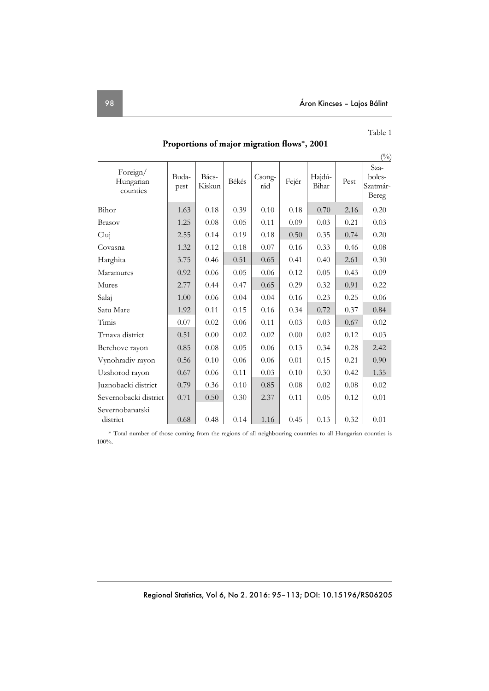| Table 1 |  |
|---------|--|
|---------|--|

|                                   |               |                 |       |               |       |                 |      | $\binom{0}{0}$                      |
|-----------------------------------|---------------|-----------------|-------|---------------|-------|-----------------|------|-------------------------------------|
| Foreign/<br>Hungarian<br>counties | Buda-<br>pest | Bács-<br>Kiskun | Békés | Csong-<br>rád | Fejér | Hajdú-<br>Bihar | Pest | Sza-<br>bolcs-<br>Szatmár-<br>Bereg |
| Bihor                             | 1.63          | 0.18            | 0.39  | 0.10          | 0.18  | 0.70            | 2.16 | 0.20                                |
| <b>Brasov</b>                     | 1.25          | 0.08            | 0.05  | 0.11          | 0.09  | 0.03            | 0.21 | 0.03                                |
| Cluj                              | 2.55          | 0.14            | 0.19  | 0.18          | 0.50  | 0.35            | 0.74 | 0.20                                |
| Covasna                           | 1.32          | 0.12            | 0.18  | 0.07          | 0.16  | 0.33            | 0.46 | 0.08                                |
| Harghita                          | 3.75          | 0.46            | 0.51  | 0.65          | 0.41  | 0.40            | 2.61 | 0.30                                |
| Maramures                         | 0.92          | 0.06            | 0.05  | 0.06          | 0.12  | 0.05            | 0.43 | 0.09                                |
| Mures                             | 2.77          | 0.44            | 0.47  | 0.65          | 0.29  | 0.32            | 0.91 | 0.22                                |
| Salaj                             | 1.00          | 0.06            | 0.04  | 0.04          | 0.16  | 0.23            | 0.25 | 0.06                                |
| Satu Mare                         | 1.92          | 0.11            | 0.15  | 0.16          | 0.34  | 0.72            | 0.37 | 0.84                                |
| Timis                             | 0.07          | 0.02            | 0.06  | 0.11          | 0.03  | 0.03            | 0.67 | 0.02                                |
| Trnava district                   | 0.51          | 0.00            | 0.02  | 0.02          | 0.00  | 0.02            | 0.12 | 0.03                                |
| Berehove rayon                    | 0.85          | 0.08            | 0.05  | 0.06          | 0.13  | 0.34            | 0.28 | 2.42                                |
| Vynohradiv rayon                  | 0.56          | 0.10            | 0.06  | 0.06          | 0.01  | 0.15            | 0.21 | 0.90                                |
| Uzshorod rayon                    | 0.67          | 0.06            | 0.11  | 0.03          | 0.10  | 0.30            | 0.42 | 1.35                                |
| Juznobacki district               | 0.79          | 0.36            | 0.10  | 0.85          | 0.08  | 0.02            | 0.08 | 0.02                                |
| Severnobacki district             | 0.71          | 0.50            | 0.30  | 2.37          | 0.11  | 0.05            | 0.12 | 0.01                                |
| Severnobanatski<br>district       | 0.68          | 0.48            | 0.14  | 1.16          | 0.45  | 0.13            | 0.32 | 0.01                                |

 **Proportions of major migration flows\*, 2001** 

\* Total number of those coming from the regions of all neighbouring countries to all Hungarian counties is 100%.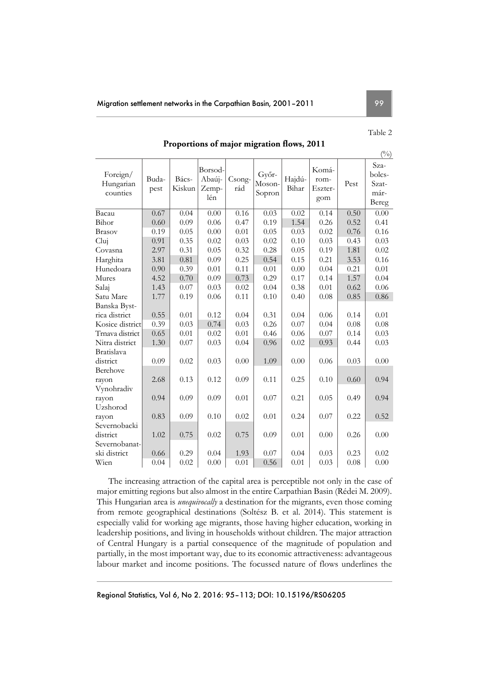## Table 2

 $(x)$ 

## **Proportions of major migration flows, 2011**

|                                   |               |                 |                                   |               |                           |                 |                                 |      | $(\%)$                                   |
|-----------------------------------|---------------|-----------------|-----------------------------------|---------------|---------------------------|-----------------|---------------------------------|------|------------------------------------------|
| Foreign/<br>Hungarian<br>counties | Buda-<br>pest | Bács-<br>Kiskun | Borsod-<br>Abaúj-<br>Zemp-<br>lén | Csong-<br>rád | Győr-<br>Moson-<br>Sopron | Hajdú-<br>Bihar | Komá-<br>rom-<br>Eszter-<br>gom | Pest | Sza-<br>bolcs-<br>Szat-<br>már-<br>Bereg |
| Bacau                             | 0.67          | 0.04            | 0.00                              | 0.16          | 0.03                      | 0.02            | 0.14                            | 0.50 | 0.00                                     |
| Bihor                             | 0.60          | 0.09            | 0.06                              | 0.47          | 0.19                      | 1.54            | 0.26                            | 0.52 | 0.41                                     |
| <b>Brasov</b>                     | 0.19          | 0.05            | 0.00                              | 0.01          | 0.05                      | 0.03            | 0.02                            | 0.76 | 0.16                                     |
| Cluj                              | 0.91          | 0.35            | 0.02                              | 0.03          | 0.02                      | 0.10            | 0.03                            | 0.43 | 0.03                                     |
| Covasna                           | 2.97          | 0.31            | 0.05                              | 0.32          | 0.28                      | 0.05            | 0.19                            | 1.81 | 0.02                                     |
| Harghita                          | 3.81          | 0.81            | 0.09                              | 0.25          | 0.54                      | 0.15            | 0.21                            | 3.53 | 0.16                                     |
| Hunedoara                         | 0.90          | 0.39            | 0.01                              | 0.11          | 0.01                      | 0.00            | 0.04                            | 0.21 | 0.01                                     |
| Mures                             | 4.52          | 0.70            | 0.09                              | 0.73          | 0.29                      | 0.17            | 0.14                            | 1.57 | 0.04                                     |
| Salaj                             | 1.43          | 0.07            | 0.03                              | 0.02          | 0.04                      | 0.38            | 0.01                            | 0.62 | 0.06                                     |
| Satu Mare                         | 1.77          | 0.19            | 0.06                              | 0.11          | 0.10                      | 0.40            | 0.08                            | 0.85 | 0.86                                     |
| Banska Byst-                      |               |                 |                                   |               |                           |                 |                                 |      |                                          |
| rica district                     | 0.55          | 0.01            | 0.12                              | 0.04          | 0.31                      | 0.04            | 0.06                            | 0.14 | 0.01                                     |
| Kosice district                   | 0.39          | 0.03            | 0.74                              | 0.03          | 0.26                      | 0.07            | 0.04                            | 0.08 | 0.08                                     |
| Trnava district                   | 0.65          | 0.01            | 0.02                              | 0.01          | 0.46                      | 0.06            | 0.07                            | 0.14 | 0.03                                     |
| Nitra district                    | 1.30          | 0.07            | 0.03                              | 0.04          | 0.96                      | 0.02            | 0.93                            | 0.44 | 0.03                                     |
| Bratislava<br>district            | 0.09          | 0.02            | 0.03                              | 0.00          | 1.09                      | 0.00            | 0.06                            | 0.03 | 0.00                                     |
| Berehove<br>rayon<br>Vynohradiv   | 2.68          | 0.13            | 0.12                              | 0.09          | 0.11                      | 0.25            | 0.10                            | 0.60 | 0.94                                     |
| rayon<br>Uzshorod                 | 0.94          | 0.09            | 0.09                              | 0.01          | 0.07                      | 0.21            | 0.05                            | 0.49 | 0.94                                     |
| rayon                             | 0.83          | 0.09            | 0.10                              | 0.02          | 0.01                      | 0.24            | 0.07                            | 0.22 | 0.52                                     |
| Severnobacki                      |               |                 |                                   |               |                           |                 |                                 |      |                                          |
| district                          | 1.02          | 0.75            | 0.02                              | 0.75          | 0.09                      | 0.01            | 0.00                            | 0.26 | 0.00                                     |
| Severnobanat-                     |               |                 |                                   |               |                           |                 |                                 |      |                                          |
| ski district                      | 0.66          | 0.29            | 0.04                              | 1.93          | 0.07                      | 0.04            | 0.03                            | 0.23 | 0.02                                     |
| Wien                              | 0.04          | 0.02            | 0.00                              | 0.01          | 0.56                      | 0.01            | 0.03                            | 0.08 | 0.00                                     |

The increasing attraction of the capital area is perceptible not only in the case of major emitting regions but also almost in the entire Carpathian Basin (Rédei M. 2009). This Hungarian area is *unequivocally* a destination for the migrants, even those coming from remote geographical destinations (Soltész B. et al. 2014). This statement is especially valid for working age migrants, those having higher education, working in leadership positions, and living in households without children. The major attraction of Central Hungary is a partial consequence of the magnitude of population and partially, in the most important way, due to its economic attractiveness: advantageous labour market and income positions. The focussed nature of flows underlines the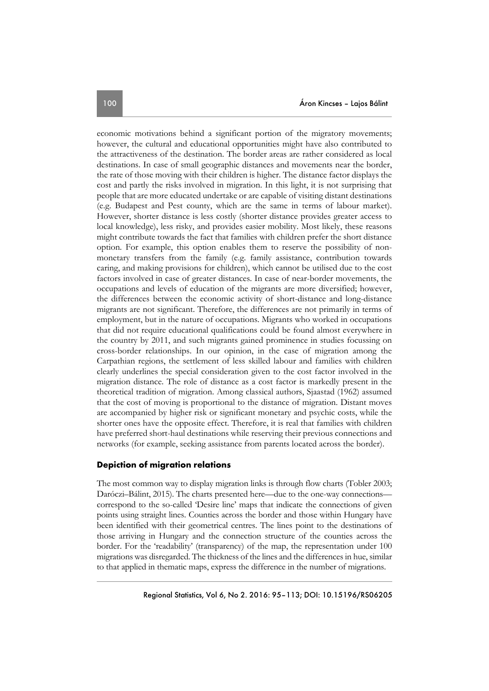economic motivations behind a significant portion of the migratory movements; however, the cultural and educational opportunities might have also contributed to the attractiveness of the destination. The border areas are rather considered as local destinations. In case of small geographic distances and movements near the border, the rate of those moving with their children is higher. The distance factor displays the cost and partly the risks involved in migration. In this light, it is not surprising that people that are more educated undertake or are capable of visiting distant destinations (e.g. Budapest and Pest county, which are the same in terms of labour market). However, shorter distance is less costly (shorter distance provides greater access to local knowledge), less risky, and provides easier mobility. Most likely, these reasons might contribute towards the fact that families with children prefer the short distance option. For example, this option enables them to reserve the possibility of nonmonetary transfers from the family (e.g. family assistance, contribution towards caring, and making provisions for children), which cannot be utilised due to the cost factors involved in case of greater distances. In case of near-border movements, the occupations and levels of education of the migrants are more diversified; however, the differences between the economic activity of short-distance and long-distance migrants are not significant. Therefore, the differences are not primarily in terms of employment, but in the nature of occupations. Migrants who worked in occupations that did not require educational qualifications could be found almost everywhere in the country by 2011, and such migrants gained prominence in studies focussing on cross-border relationships. In our opinion, in the case of migration among the Carpathian regions, the settlement of less skilled labour and families with children clearly underlines the special consideration given to the cost factor involved in the migration distance. The role of distance as a cost factor is markedly present in the theoretical tradition of migration. Among classical authors, Sjaastad (1962) assumed that the cost of moving is proportional to the distance of migration. Distant moves are accompanied by higher risk or significant monetary and psychic costs, while the shorter ones have the opposite effect. Therefore, it is real that families with children have preferred short-haul destinations while reserving their previous connections and networks (for example, seeking assistance from parents located across the border).

## **Depiction of migration relations**

The most common way to display migration links is through flow charts (Tobler 2003; Daróczi–Bálint, 2015). The charts presented here—due to the one-way connections correspond to the so-called 'Desire line' maps that indicate the connections of given points using straight lines. Counties across the border and those within Hungary have been identified with their geometrical centres. The lines point to the destinations of those arriving in Hungary and the connection structure of the counties across the border. For the 'readability' (transparency) of the map, the representation under 100 migrations was disregarded. The thickness of the lines and the differences in hue, similar to that applied in thematic maps, express the difference in the number of migrations.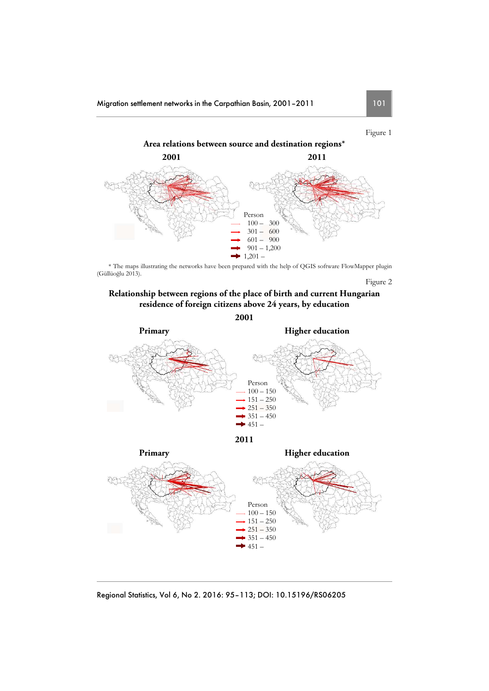Figure 1



\* The maps illustrating the networks have been prepared with the help of QGIS software FlowMapper plugin (Güllüoğlu 2013). Figure 2

## **Relationship between regions of the place of birth and current Hungarian residence of foreign citizens above 24 years, by education**

**2001** 



 $151 - 250$ 

 $351 - 450$  $-451-$ 

 $\rightarrow$  251 – 350

Regional Statistics, Vol 6, No 2. 2016: 95–113; DOI: 10.15196/RS06205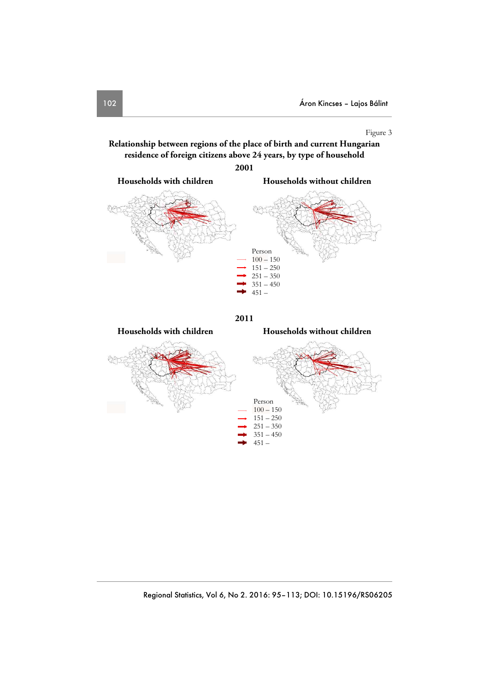## Figure 3

**Relationship between regions of the place of birth and current Hungarian residence of foreign citizens above 24 years, by type of household** 



**2011** 

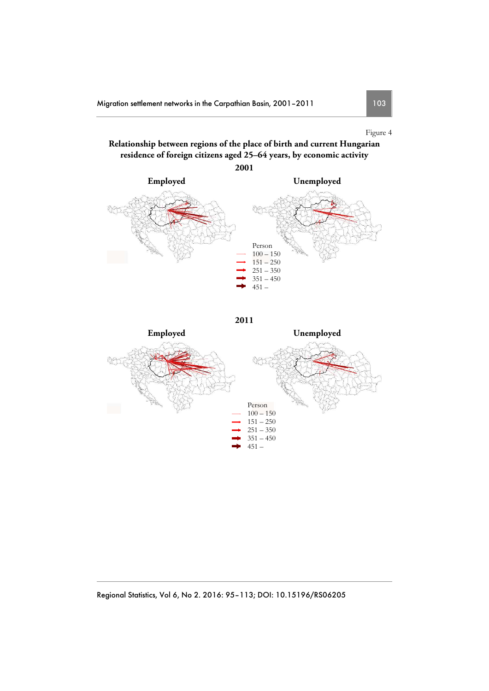## Figure 4

## **Relationship between regions of the place of birth and current Hungarian residence of foreign citizens aged 25–64 years, by economic activity**



**2011** 

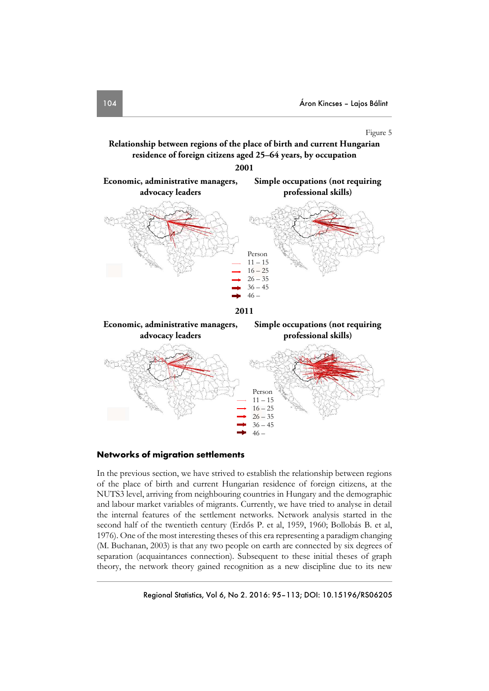**Simple occupations (not requiring** 

### Figure 5

**Relationship between regions of the place of birth and current Hungarian residence of foreign citizens aged 25–64 years, by occupation** 

**2001** 





**Economic, administrative managers,** 



## **Networks of migration settlements**

In the previous section, we have strived to establish the relationship between regions of the place of birth and current Hungarian residence of foreign citizens, at the NUTS3 level, arriving from neighbouring countries in Hungary and the demographic and labour market variables of migrants. Currently, we have tried to analyse in detail the internal features of the settlement networks. Network analysis started in the second half of the twentieth century (Erdős P. et al, 1959, 1960; Bollobás B. et al, 1976). One of the most interesting theses of this era representing a paradigm changing (M. Buchanan, 2003) is that any two people on earth are connected by six degrees of separation (acquaintances connection). Subsequent to these initial theses of graph theory, the network theory gained recognition as a new discipline due to its new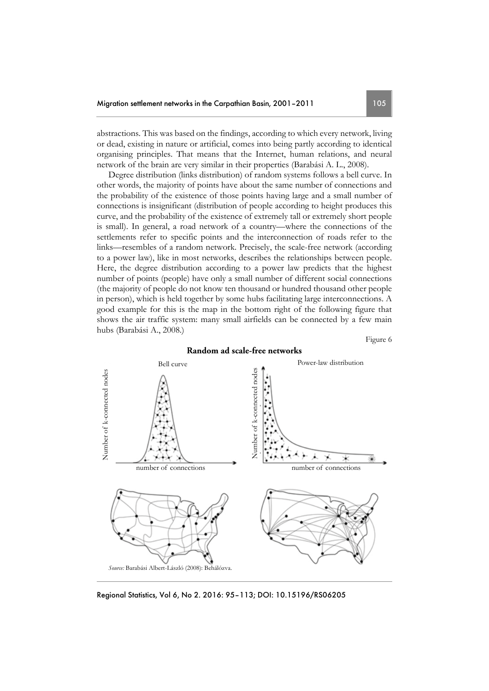abstractions. This was based on the findings, according to which every network, living or dead, existing in nature or artificial, comes into being partly according to identical organising principles. That means that the Internet, human relations, and neural network of the brain are very similar in their properties (Barabási A. L., 2008).

Degree distribution (links distribution) of random systems follows a bell curve. In other words, the majority of points have about the same number of connections and the probability of the existence of those points having large and a small number of connections is insignificant (distribution of people according to height produces this curve, and the probability of the existence of extremely tall or extremely short people is small). In general, a road network of a country—where the connections of the settlements refer to specific points and the interconnection of roads refer to the links—resembles of a random network. Precisely, the scale-free network (according to a power law), like in most networks, describes the relationships between people. Here, the degree distribution according to a power law predicts that the highest number of points (people) have only a small number of different social connections (the majority of people do not know ten thousand or hundred thousand other people in person), which is held together by some hubs facilitating large interconnections. A good example for this is the map in the bottom right of the following figure that shows the air traffic system: many small airfields can be connected by a few main hubs (Barabási A., 2008.)

Figure 6



**Random ad scale-free networks** 

Regional Statistics, Vol 6, No 2. 2016: 95–113; DOI: 10.15196/RS06205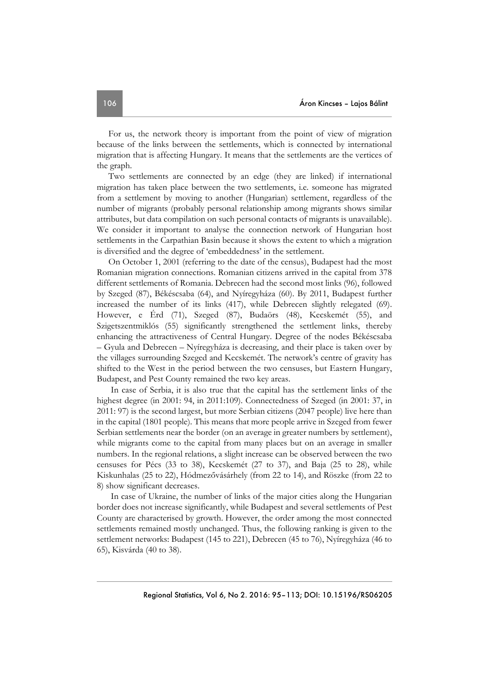For us, the network theory is important from the point of view of migration because of the links between the settlements, which is connected by international migration that is affecting Hungary. It means that the settlements are the vertices of the graph.

Two settlements are connected by an edge (they are linked) if international migration has taken place between the two settlements, i.e. someone has migrated from a settlement by moving to another (Hungarian) settlement, regardless of the number of migrants (probably personal relationship among migrants shows similar attributes, but data compilation on such personal contacts of migrants is unavailable). We consider it important to analyse the connection network of Hungarian host settlements in the Carpathian Basin because it shows the extent to which a migration is diversified and the degree of 'embeddedness' in the settlement.

On October 1, 2001 (referring to the date of the census), Budapest had the most Romanian migration connections. Romanian citizens arrived in the capital from 378 different settlements of Romania. Debrecen had the second most links (96), followed by Szeged (87), Békéscsaba (64), and Nyíregyháza (60). By 2011, Budapest further increased the number of its links (417), while Debrecen slightly relegated (69). However, e Érd (71), Szeged (87), Budaörs (48), Kecskemét (55), and Szigetszentmiklós (55) significantly strengthened the settlement links, thereby enhancing the attractiveness of Central Hungary. Degree of the nodes Békéscsaba – Gyula and Debrecen – Nyíregyháza is decreasing, and their place is taken over by the villages surrounding Szeged and Kecskemét. The network's centre of gravity has shifted to the West in the period between the two censuses, but Eastern Hungary, Budapest, and Pest County remained the two key areas.

 In case of Serbia, it is also true that the capital has the settlement links of the highest degree (in 2001: 94, in 2011:109). Connectedness of Szeged (in 2001: 37, in 2011: 97) is the second largest, but more Serbian citizens (2047 people) live here than in the capital (1801 people). This means that more people arrive in Szeged from fewer Serbian settlements near the border (on an average in greater numbers by settlement), while migrants come to the capital from many places but on an average in smaller numbers. In the regional relations, a slight increase can be observed between the two censuses for Pécs (33 to 38), Kecskemét (27 to 37), and Baja (25 to 28), while Kiskunhalas (25 to 22), Hódmezővásárhely (from 22 to 14), and Röszke (from 22 to 8) show significant decreases.

 In case of Ukraine, the number of links of the major cities along the Hungarian border does not increase significantly, while Budapest and several settlements of Pest County are characterised by growth. However, the order among the most connected settlements remained mostly unchanged. Thus, the following ranking is given to the settlement networks: Budapest (145 to 221), Debrecen (45 to 76), Nyíregyháza (46 to 65), Kisvárda (40 to 38).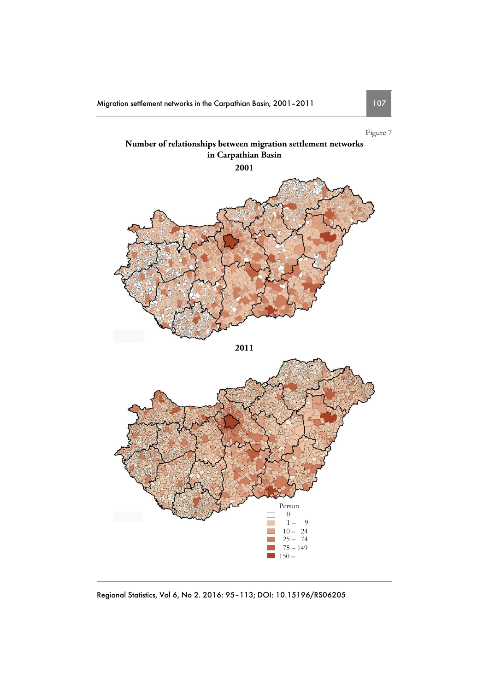Migration settlement networks in the Carpathian Basin, 2001-2011 107

Figure 7



Regional Statistics, Vol 6, No 2. 2016: 95–113; DOI: 10.15196/RS06205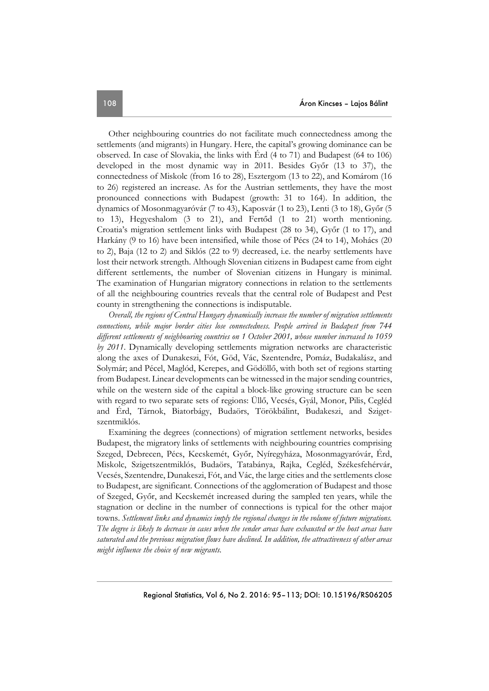Other neighbouring countries do not facilitate much connectedness among the settlements (and migrants) in Hungary. Here, the capital's growing dominance can be observed. In case of Slovakia, the links with Érd (4 to 71) and Budapest (64 to 106) developed in the most dynamic way in 2011. Besides Győr (13 to 37), the connectedness of Miskolc (from 16 to 28), Esztergom (13 to 22), and Komárom (16 to 26) registered an increase. As for the Austrian settlements, they have the most pronounced connections with Budapest (growth: 31 to 164). In addition, the dynamics of Mosonmagyaróvár (7 to 43), Kaposvár (1 to 23), Lenti (3 to 18), Győr (5 to 13), Hegyeshalom (3 to 21), and Fertőd (1 to 21) worth mentioning. Croatia's migration settlement links with Budapest (28 to 34), Győr (1 to 17), and Harkány (9 to 16) have been intensified, while those of Pécs (24 to 14), Mohács (20 to 2), Baja (12 to 2) and Siklós (22 to 9) decreased, i.e. the nearby settlements have lost their network strength. Although Slovenian citizens in Budapest came from eight different settlements, the number of Slovenian citizens in Hungary is minimal. The examination of Hungarian migratory connections in relation to the settlements of all the neighbouring countries reveals that the central role of Budapest and Pest county in strengthening the connections is indisputable.

*Overall, the regions of Central Hungary dynamically increase the number of migration settlements connections, while major border cities lose connectedness. People arrived in Budapest from 744 different settlements of neighbouring countries on 1 October 2001, whose number increased to 1059 by 2011*. Dynamically developing settlements migration networks are characteristic along the axes of Dunakeszi, Fót, Göd, Vác, Szentendre, Pomáz, Budakalász, and Solymár; and Pécel, Maglód, Kerepes, and Gödöllő, with both set of regions starting from Budapest. Linear developments can be witnessed in the major sending countries, while on the western side of the capital a block-like growing structure can be seen with regard to two separate sets of regions: Üllő, Vecsés, Gyál, Monor, Pilis, Cegléd and Érd, Tárnok, Biatorbágy, Budaörs, Törökbálint, Budakeszi, and Szigetszentmiklós.

Examining the degrees (connections) of migration settlement networks, besides Budapest, the migratory links of settlements with neighbouring countries comprising Szeged, Debrecen, Pécs, Kecskemét, Győr, Nyíregyháza, Mosonmagyaróvár, Érd, Miskolc, Szigetszentmiklós, Budaörs, Tatabánya, Rajka, Cegléd, Székesfehérvár, Vecsés, Szentendre, Dunakeszi, Fót, and Vác, the large cities and the settlements close to Budapest, are significant. Connections of the agglomeration of Budapest and those of Szeged, Győr, and Kecskemét increased during the sampled ten years, while the stagnation or decline in the number of connections is typical for the other major towns. *Settlement links and dynamics imply the regional changes in the volume of future migrations. The degree is likely to decrease in cases when the sender areas have exhausted or the host areas have saturated and the previous migration flows have declined. In addition, the attractiveness of other areas might influence the choice of new migrants.*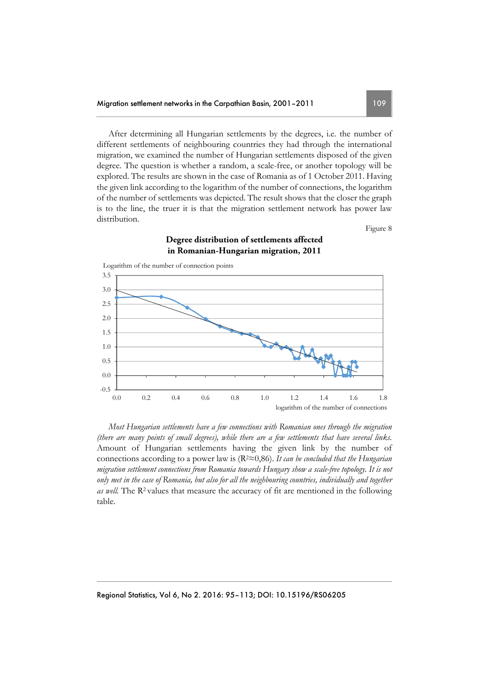After determining all Hungarian settlements by the degrees, i.e. the number of different settlements of neighbouring countries they had through the international migration, we examined the number of Hungarian settlements disposed of the given degree. The question is whether a random, a scale-free, or another topology will be explored. The results are shown in the case of Romania as of 1 October 2011. Having the given link according to the logarithm of the number of connections, the logarithm of the number of settlements was depicted. The result shows that the closer the graph is to the line, the truer it is that the migration settlement network has power law distribution.

Figure 8

## **Degree distribution of settlements affected in Romanian-Hungarian migration, 2011**



*Most Hungarian settlements have a few connections with Romanian ones through the migration (there are many points of small degrees), while there are a few settlements that have several links.* Amount of Hungarian settlements having the given link by the number of connections according to a power law is (R2≈0,86). *It can be concluded that the Hungarian migration settlement connections from Romania towards Hungary show a scale-free topology. It is not only met in the case of Romania, but also for all the neighbouring countries, individually and together as well*. The R<sup>2</sup> values that measure the accuracy of fit are mentioned in the following table.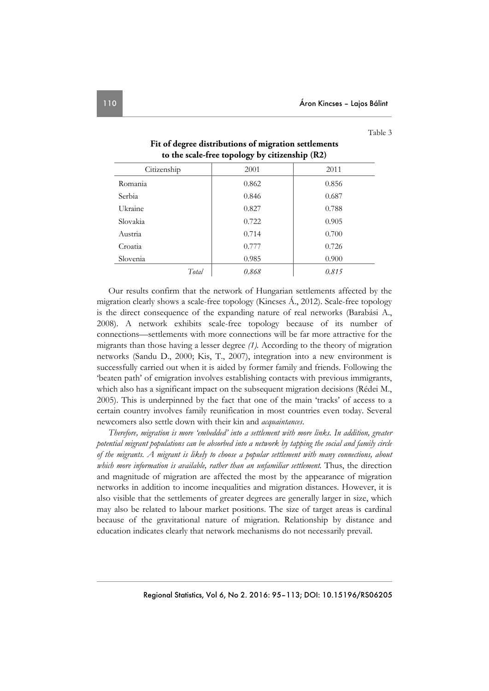Table 3

| to the scale-free topology by citizenship (R2) |       |       |  |  |  |  |
|------------------------------------------------|-------|-------|--|--|--|--|
| Citizenship                                    | 2001  | 2011  |  |  |  |  |
| Romania                                        | 0.862 | 0.856 |  |  |  |  |
| <b>Serbia</b>                                  | 0.846 | 0.687 |  |  |  |  |
| Ukraine                                        | 0.827 | 0.788 |  |  |  |  |
| Slovakia                                       | 0.722 | 0.905 |  |  |  |  |
| Austria                                        | 0.714 | 0.700 |  |  |  |  |
| Croatia                                        | 0.777 | 0.726 |  |  |  |  |
| Slovenia                                       | 0.985 | 0.900 |  |  |  |  |
| Total                                          | 0.868 | 0.815 |  |  |  |  |

# **Fit of degree distributions of migration settlements**

Our results confirm that the network of Hungarian settlements affected by the migration clearly shows a scale-free topology (Kincses Á., 2012). Scale-free topology is the direct consequence of the expanding nature of real networks (Barabási A., 2008). A network exhibits scale-free topology because of its number of connections—settlements with more connections will be far more attractive for the migrants than those having a lesser degree *(1).* According to the theory of migration networks (Sandu D., 2000; Kis, T., 2007), integration into a new environment is successfully carried out when it is aided by former family and friends. Following the 'beaten path' of emigration involves establishing contacts with previous immigrants, which also has a significant impact on the subsequent migration decisions (Rédei M., 2005). This is underpinned by the fact that one of the main 'tracks' of access to a certain country involves family reunification in most countries even today. Several newcomers also settle down with their kin and *acquaintances*.

*Therefore, migration is more 'embedded' into a settlement with more links. In addition, greater potential migrant populations can be absorbed into a network by tapping the social and family circle of the migrants. A migrant is likely to choose a popular settlement with many connections, about*  which more information is available, rather than an unfamiliar settlement. Thus, the direction and magnitude of migration are affected the most by the appearance of migration networks in addition to income inequalities and migration distances. However, it is also visible that the settlements of greater degrees are generally larger in size, which may also be related to labour market positions. The size of target areas is cardinal because of the gravitational nature of migration. Relationship by distance and education indicates clearly that network mechanisms do not necessarily prevail.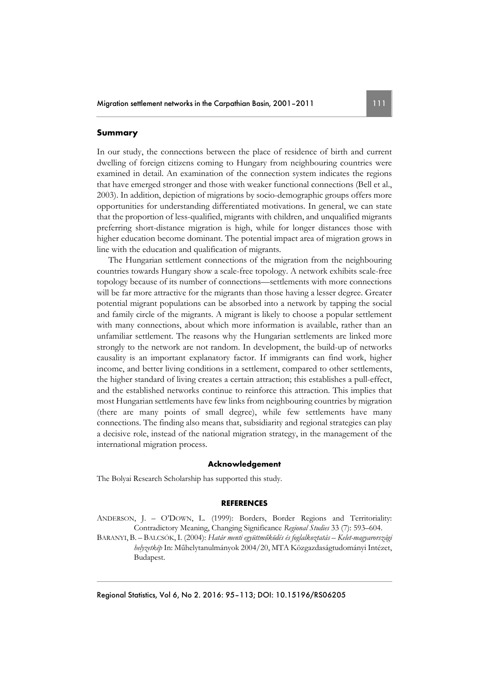### **Summary**

In our study, the connections between the place of residence of birth and current dwelling of foreign citizens coming to Hungary from neighbouring countries were examined in detail. An examination of the connection system indicates the regions that have emerged stronger and those with weaker functional connections (Bell et al., 2003). In addition, depiction of migrations by socio-demographic groups offers more opportunities for understanding differentiated motivations. In general, we can state that the proportion of less-qualified, migrants with children, and unqualified migrants preferring short-distance migration is high, while for longer distances those with higher education become dominant. The potential impact area of migration grows in line with the education and qualification of migrants.

The Hungarian settlement connections of the migration from the neighbouring countries towards Hungary show a scale-free topology. A network exhibits scale-free topology because of its number of connections—settlements with more connections will be far more attractive for the migrants than those having a lesser degree. Greater potential migrant populations can be absorbed into a network by tapping the social and family circle of the migrants. A migrant is likely to choose a popular settlement with many connections, about which more information is available, rather than an unfamiliar settlement. The reasons why the Hungarian settlements are linked more strongly to the network are not random. In development, the build-up of networks causality is an important explanatory factor. If immigrants can find work, higher income, and better living conditions in a settlement, compared to other settlements, the higher standard of living creates a certain attraction; this establishes a pull-effect, and the established networks continue to reinforce this attraction. This implies that most Hungarian settlements have few links from neighbouring countries by migration (there are many points of small degree), while few settlements have many connections. The finding also means that, subsidiarity and regional strategies can play a decisive role, instead of the national migration strategy, in the management of the international migration process.

#### **Acknowledgement**

The Bolyai Research Scholarship has supported this study.

#### **REFERENCES**

ANDERSON, J. – O'DOWN, L. (1999): Borders, Border Regions and Territoriality: Contradictory Meaning, Changing Significance *Regional Studies* 33 (7): 593–604.

BARANYI, B. – BALCSÓK,I. (2004): *Határ menti együttműködés és foglalkoztatás – Kelet-magyarországi helyzetkép* In: Műhelytanulmányok 2004/20, MTA Közgazdaságtudományi Intézet, Budapest.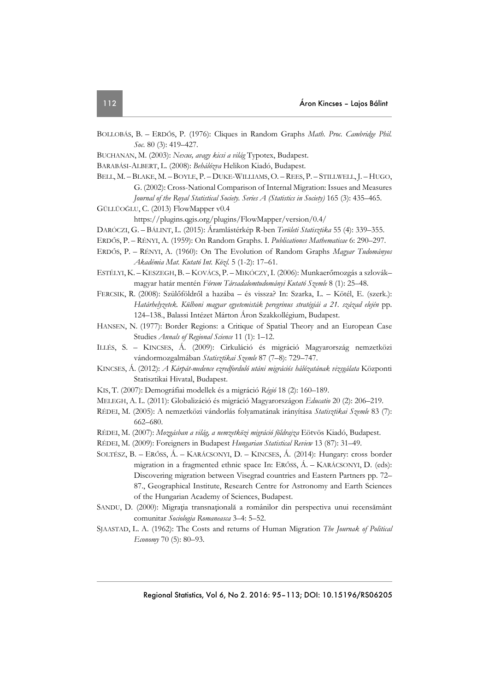- BOLLOBÁS, B. ERDŐS, P. (1976): Cliques in Random Graphs *Math. Proc. Cambridge Phil. Soc*. 80 (3): 419–427.
- BUCHANAN, M. (2003): *Nexus, avagy kicsi a világ* Typotex, Budapest.
- BARABÁSI-ALBERT, L. (2008): *Behálózva* Helikon Kiadó, Budapest.
- BELL, M. BLAKE, M. BOYLE, P. DUKE-WILLIAMS, O. REES, P. STILLWELL, J. HUGO, G. (2002): Cross-National Comparison of Internal Migration: Issues and Measures *Journal of the Royal Statistical Society. Series A (Statistics in Society)* 165 (3): 435–465.
- GÜLLÜOĞLU, C. (2013) FlowMapper v0.4

https://plugins.qgis.org/plugins/FlowMapper/version/0.4/

- DARÓCZI, G. BÁLINT, L. (2015): Áramlástérkép R-ben *Területi Statisztika* 55 (4): 339–355.
- ERDŐS, P. RÉNYI, A. (1959): On Random Graphs. I. *Publicationes Mathematicae* 6: 290–297.
- ERDŐS, P. RÉNYI, A. (1960): On The Evolution of Random Graphs *Magyar Tudományos Akadémia Mat. Kutató Int. Közl.* 5 (1-2): 17–61.
- ESTÉLYI, K. KESZEGH, B. KOVÁCS, P. MIKÓCZY, I. (2006): Munkaerőmozgás a szlovák– magyar határ mentén *Fórum Társadalomtudományi Kutató Szemle* 8 (1): 25–48.
- FERCSIK, R. (2008): Szülőföldről a hazába és vissza? In: Szarka, L. Kötél, E. (szerk.): *Határhelyzetek. Külhoni magyar egyetemisták peregrinus stratégiái a 21. század elején* pp. 124–138., Balassi Intézet Márton Áron Szakkollégium, Budapest.
- HANSEN, N. (1977): Border Regions: a Critique of Spatial Theory and an European Case Studies *Annals of Regional Science* 11 (1): 1–12.
- ILLÉS, S. KINCSES, Á. (2009): Cirkuláció és migráció Magyarország nemzetközi vándormozgalmában *Statisztikai Szemle* 87 (7–8): 729–747.
- KINCSES, Á. (2012): *A Kárpát-medence ezredforduló utáni migrációs hálózatának vizsgálata* Központi Statisztikai Hivatal, Budapest.
- KIS, T. (2007): Demográfiai modellek és a migráció *Régió* 18 (2): 160–189.
- MELEGH, A. L. (2011): Globalizáció és migráció Magyarországon *Educatio* 20 (2): 206–219.
- RÉDEI, M. (2005): A nemzetközi vándorlás folyamatának irányítása *Statisztikai Szemle* 83 (7): 662–680.
- RÉDEI, M. (2007): *Mozgásban a világ, a nemzetközi migráció földrajza* Eötvös Kiadó, Budapest.
- RÉDEI, M. (2009): Foreigners in Budapest *Hungarian Statistical Review* 13 (87): 31–49.
- SOLTÉSZ, B. ERŐSS, Á. KARÁCSONYI, D. KINCSES, Á. (2014): Hungary: cross border migration in a fragmented ethnic space In: ERŐSS, Á. – KARÁCSONYI, D. (eds): Discovering migration between Visegrad countries and Eastern Partners pp. 72– 87., Geographical Institute, Research Centre for Astronomy and Earth Sciences of the Hungarian Academy of Sciences, Budapest.
- SANDU, D. (2000): Migraţia transnaţională a românilor din perspectiva unui recensământ comunitar *Sociologia Romaneasca* 3–4: 5–52.
- SJAASTAD, L. A. (1962): The Costs and returns of Human Migration *The Journak of Political Economy* 70 (5): 80–93.